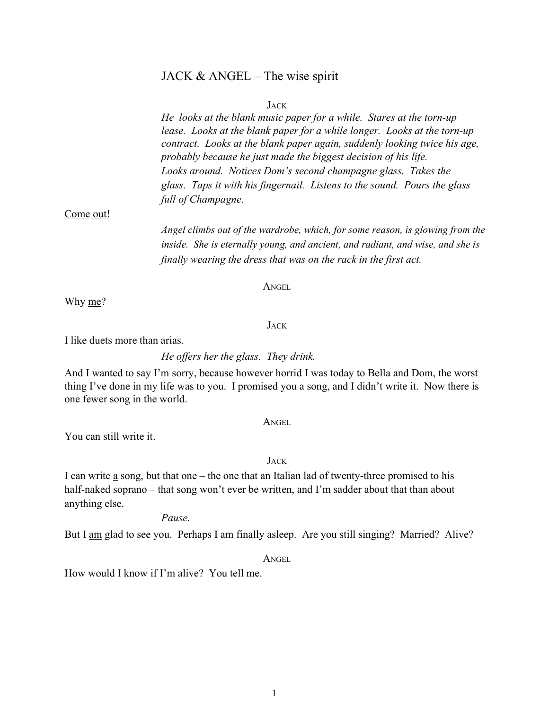# JACK  $&$  ANGEL – The wise spirit

#### JACK

He looks at the blank music paper for a while. Stares at the torn-up lease. Looks at the blank paper for a while longer. Looks at the torn-up contract. Looks at the blank paper again, suddenly looking twice his age, probably because he just made the biggest decision of his life. Looks around. Notices Dom's second champagne glass. Takes the glass. Taps it with his fingernail. Listens to the sound. Pours the glass full of Champagne.

#### Come out!

Angel climbs out of the wardrobe, which, for some reason, is glowing from the inside. She is eternally young, and ancient, and radiant, and wise, and she is finally wearing the dress that was on the rack in the first act.

#### **ANGEL**

Why me?

**JACK** 

I like duets more than arias.

He offers her the glass. They drink.

And I wanted to say I'm sorry, because however horrid I was today to Bella and Dom, the worst thing I've done in my life was to you. I promised you a song, and I didn't write it. Now there is one fewer song in the world.

ANGEL

You can still write it.

JACK

I can write a song, but that one – the one that an Italian lad of twenty-three promised to his half-naked soprano – that song won't ever be written, and I'm sadder about that than about anything else.

#### Pause.

But I am glad to see you. Perhaps I am finally asleep. Are you still singing? Married? Alive?

**ANGEL** 

How would I know if I'm alive? You tell me.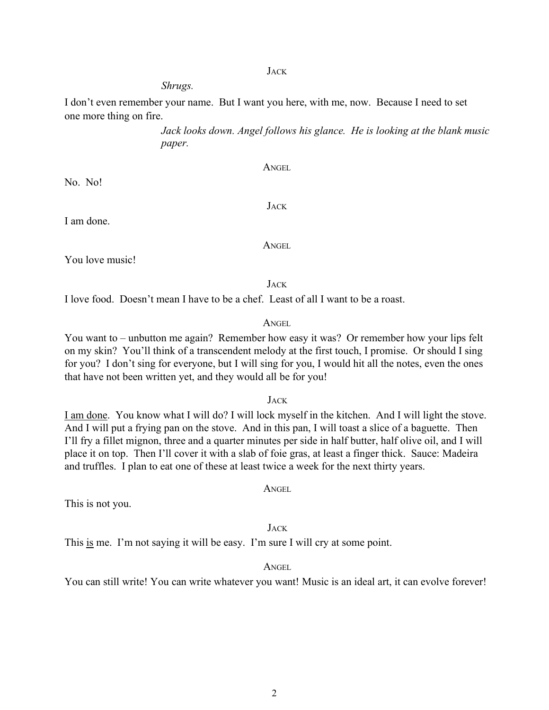#### JACK

ANGEL

JACK

# Shrugs.

I don't even remember your name. But I want you here, with me, now. Because I need to set one more thing on fire.

> Jack looks down. Angel follows his glance. He is looking at the blank music paper.

No. No!

I am done.

You love music!

JACK

I love food. Doesn't mean I have to be a chef. Least of all I want to be a roast.

# ANGEL

You want to – unbutton me again? Remember how easy it was? Or remember how your lips felt on my skin? You'll think of a transcendent melody at the first touch, I promise. Or should I sing for you? I don't sing for everyone, but I will sing for you, I would hit all the notes, even the ones that have not been written yet, and they would all be for you!

### JACK

I am done. You know what I will do? I will lock myself in the kitchen. And I will light the stove. And I will put a frying pan on the stove. And in this pan, I will toast a slice of a baguette. Then I'll fry a fillet mignon, three and a quarter minutes per side in half butter, half olive oil, and I will place it on top. Then I'll cover it with a slab of foie gras, at least a finger thick. Sauce: Madeira and truffles. I plan to eat one of these at least twice a week for the next thirty years.

ANGEL

This is not you.

# **JACK**

This is me. I'm not saying it will be easy. I'm sure I will cry at some point.

#### ANGEL

You can still write! You can write whatever you want! Music is an ideal art, it can evolve forever!

# ANGEL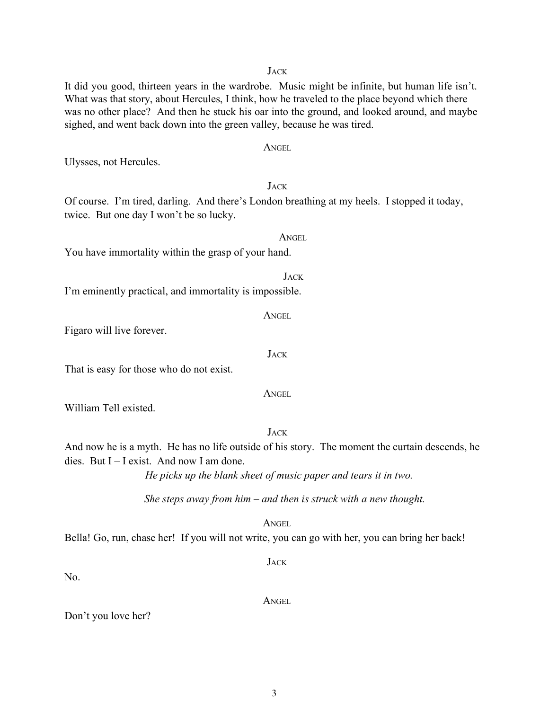It did you good, thirteen years in the wardrobe. Music might be infinite, but human life isn't. What was that story, about Hercules, I think, how he traveled to the place beyond which there was no other place? And then he stuck his oar into the ground, and looked around, and maybe sighed, and went back down into the green valley, because he was tired.

Ulysses, not Hercules.

Of course. I'm tired, darling. And there's London breathing at my heels. I stopped it today, twice. But one day I won't be so lucky.

You have immortality within the grasp of your hand.

I'm eminently practical, and immortality is impossible.

Figaro will live forever.

That is easy for those who do not exist.

William Tell existed.

And now he is a myth. He has no life outside of his story. The moment the curtain descends, he dies. But  $I - I$  exist. And now I am done.

He picks up the blank sheet of music paper and tears it in two.

She steps away from him  $-$  and then is struck with a new thought.

ANGEL

**JACK** 

ANGEL

Bella! Go, run, chase her! If you will not write, you can go with her, you can bring her back!

No.

Don't you love her?

**ANGEL** 

**JACK** 

ANGEL

**JACK** 

ANGEL

# JACK

**JACK** 

**ANGEL** 

**JACK**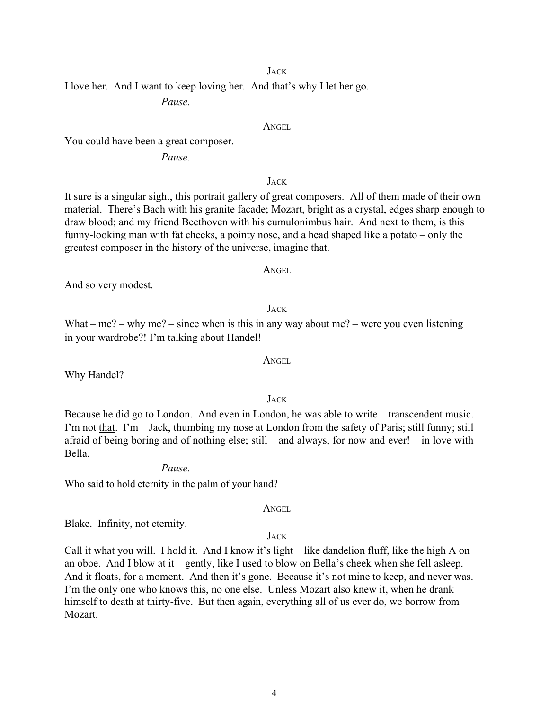#### **JACK**

I love her. And I want to keep loving her. And that's why I let her go.

Pause.

### ANGEL

You could have been a great composer.

# Pause.

**JACK** 

It sure is a singular sight, this portrait gallery of great composers. All of them made of their own material. There's Bach with his granite facade; Mozart, bright as a crystal, edges sharp enough to draw blood; and my friend Beethoven with his cumulonimbus hair. And next to them, is this funny-looking man with fat cheeks, a pointy nose, and a head shaped like a potato – only the greatest composer in the history of the universe, imagine that.

#### ANGEL

And so very modest.

JACK

What – me? – why me? – since when is this in any way about me? – were you even listening in your wardrobe?! I'm talking about Handel!

Why Handel?

Because he did go to London. And even in London, he was able to write – transcendent music. I'm not that. I'm – Jack, thumbing my nose at London from the safety of Paris; still funny; still afraid of being boring and of nothing else; still – and always, for now and ever! – in love with Bella.

# Pause.

Who said to hold eternity in the palm of your hand?

ANGEL

Blake. Infinity, not eternity.

# JACK

Call it what you will. I hold it. And I know it's light – like dandelion fluff, like the high A on an oboe. And I blow at it – gently, like I used to blow on Bella's cheek when she fell asleep. And it floats, for a moment. And then it's gone. Because it's not mine to keep, and never was. I'm the only one who knows this, no one else. Unless Mozart also knew it, when he drank himself to death at thirty-five. But then again, everything all of us ever do, we borrow from Mozart.

ANGEL

JACK